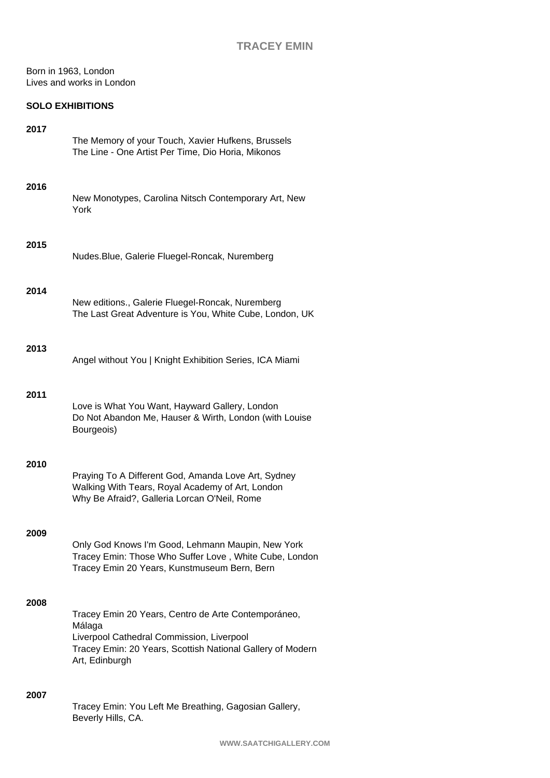Born in 1963, London Lives and works in London

## **SOLO EXHIBITIONS**

| 2017 | The Memory of your Touch, Xavier Hufkens, Brussels<br>The Line - One Artist Per Time, Dio Horia, Mikonos                                                                                   |
|------|--------------------------------------------------------------------------------------------------------------------------------------------------------------------------------------------|
| 2016 | New Monotypes, Carolina Nitsch Contemporary Art, New<br>York                                                                                                                               |
| 2015 | Nudes. Blue, Galerie Fluegel-Roncak, Nuremberg                                                                                                                                             |
| 2014 | New editions., Galerie Fluegel-Roncak, Nuremberg<br>The Last Great Adventure is You, White Cube, London, UK                                                                                |
| 2013 | Angel without You   Knight Exhibition Series, ICA Miami                                                                                                                                    |
| 2011 | Love is What You Want, Hayward Gallery, London<br>Do Not Abandon Me, Hauser & Wirth, London (with Louise<br>Bourgeois)                                                                     |
| 2010 | Praying To A Different God, Amanda Love Art, Sydney<br>Walking With Tears, Royal Academy of Art, London<br>Why Be Afraid?, Galleria Lorcan O'Neil, Rome                                    |
| 2009 | Only God Knows I'm Good, Lehmann Maupin, New York<br>Tracey Emin: Those Who Suffer Love, White Cube, London<br>Tracey Emin 20 Years, Kunstmuseum Bern, Bern                                |
| 2008 | Tracey Emin 20 Years, Centro de Arte Contemporáneo,<br>Málaga<br>Liverpool Cathedral Commission, Liverpool<br>Tracey Emin: 20 Years, Scottish National Gallery of Modern<br>Art, Edinburgh |
| 2007 | Tracey Emin: You Left Me Breathing, Gagosian Gallery,<br>Beverly Hills, CA.                                                                                                                |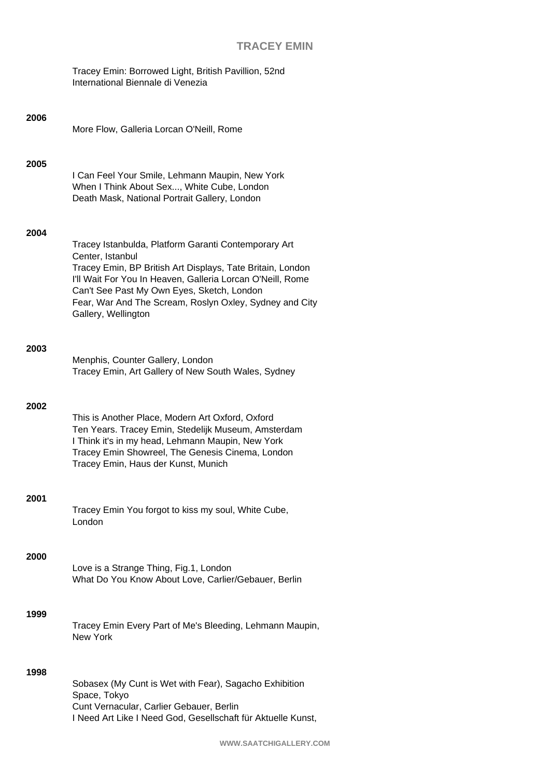|      | Tracey Emin: Borrowed Light, British Pavillion, 52nd<br>International Biennale di Venezia                                                                                                                                                                                                                                            |
|------|--------------------------------------------------------------------------------------------------------------------------------------------------------------------------------------------------------------------------------------------------------------------------------------------------------------------------------------|
| 2006 | More Flow, Galleria Lorcan O'Neill, Rome                                                                                                                                                                                                                                                                                             |
| 2005 | I Can Feel Your Smile, Lehmann Maupin, New York<br>When I Think About Sex, White Cube, London<br>Death Mask, National Portrait Gallery, London                                                                                                                                                                                       |
| 2004 | Tracey Istanbulda, Platform Garanti Contemporary Art<br>Center, Istanbul<br>Tracey Emin, BP British Art Displays, Tate Britain, London<br>I'll Wait For You In Heaven, Galleria Lorcan O'Neill, Rome<br>Can't See Past My Own Eyes, Sketch, London<br>Fear, War And The Scream, Roslyn Oxley, Sydney and City<br>Gallery, Wellington |
| 2003 | Menphis, Counter Gallery, London<br>Tracey Emin, Art Gallery of New South Wales, Sydney                                                                                                                                                                                                                                              |
| 2002 | This is Another Place, Modern Art Oxford, Oxford<br>Ten Years. Tracey Emin, Stedelijk Museum, Amsterdam<br>I Think it's in my head, Lehmann Maupin, New York<br>Tracey Emin Showreel, The Genesis Cinema, London<br>Tracey Emin, Haus der Kunst, Munich                                                                              |
| 2001 | Tracey Emin You forgot to kiss my soul, White Cube,<br>London                                                                                                                                                                                                                                                                        |
| 2000 | Love is a Strange Thing, Fig.1, London<br>What Do You Know About Love, Carlier/Gebauer, Berlin                                                                                                                                                                                                                                       |
| 1999 | Tracey Emin Every Part of Me's Bleeding, Lehmann Maupin,<br><b>New York</b>                                                                                                                                                                                                                                                          |
| 1998 | Sobasex (My Cunt is Wet with Fear), Sagacho Exhibition<br>Space, Tokyo<br>Cunt Vernacular, Carlier Gebauer, Berlin<br>I Need Art Like I Need God, Gesellschaft für Aktuelle Kunst,                                                                                                                                                   |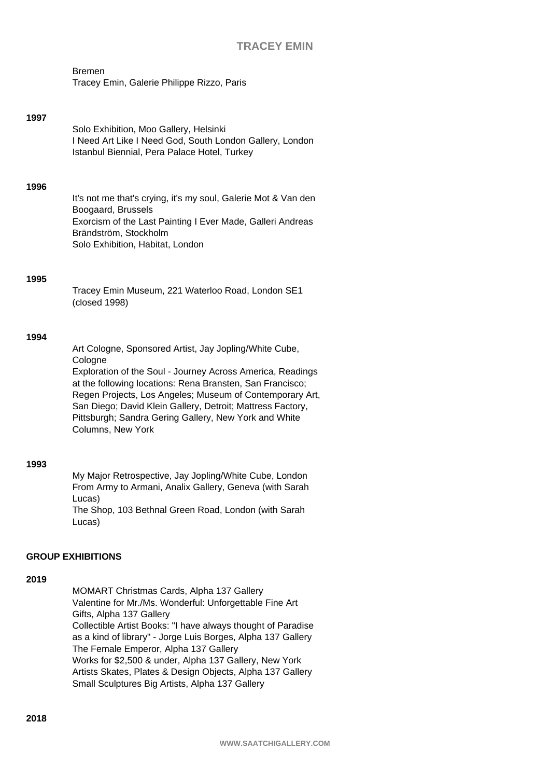| Bremen                                     |  |  |
|--------------------------------------------|--|--|
| Tracey Emin, Galerie Philippe Rizzo, Paris |  |  |

#### **1997**

Solo Exhibition, Moo Gallery, Helsinki I Need Art Like I Need God, South London Gallery, London Istanbul Biennial, Pera Palace Hotel, Turkey

#### **1996**

It's not me that's crying, it's my soul, Galerie Mot & Van den Boogaard, Brussels Exorcism of the Last Painting I Ever Made, Galleri Andreas Brändström, Stockholm Solo Exhibition, Habitat, London

#### **1995**

Tracey Emin Museum, 221 Waterloo Road, London SE1 (closed 1998)

#### **1994**

Art Cologne, Sponsored Artist, Jay Jopling/White Cube, **Cologne** Exploration of the Soul - Journey Across America, Readings

at the following locations: Rena Bransten, San Francisco; Regen Projects, Los Angeles; Museum of Contemporary Art, San Diego; David Klein Gallery, Detroit; Mattress Factory, Pittsburgh; Sandra Gering Gallery, New York and White Columns, New York

#### **1993**

My Major Retrospective, Jay Jopling/White Cube, London From Army to Armani, Analix Gallery, Geneva (with Sarah Lucas) The Shop, 103 Bethnal Green Road, London (with Sarah Lucas)

### **GROUP EXHIBITIONS**

### **2019**

MOMART Christmas Cards, Alpha 137 Gallery Valentine for Mr./Ms. Wonderful: Unforgettable Fine Art Gifts, Alpha 137 Gallery Collectible Artist Books: "I have always thought of Paradise as a kind of library" - Jorge Luis Borges, Alpha 137 Gallery The Female Emperor, Alpha 137 Gallery Works for \$2,500 & under, Alpha 137 Gallery, New York Artists Skates, Plates & Design Objects, Alpha 137 Gallery Small Sculptures Big Artists, Alpha 137 Gallery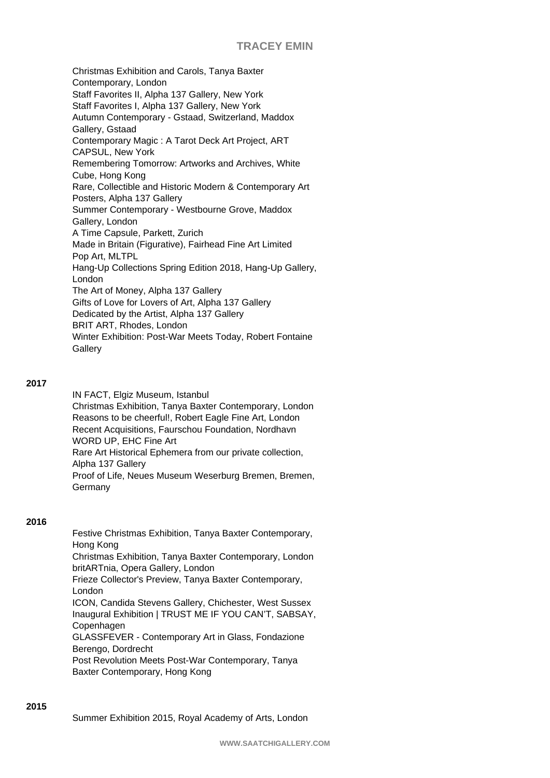Christmas Exhibition and Carols, Tanya Baxter Contemporary, London Staff Favorites II, Alpha 137 Gallery, New York Staff Favorites I, Alpha 137 Gallery, New York Autumn Contemporary - Gstaad, Switzerland, Maddox Gallery, Gstaad Contemporary Magic : A Tarot Deck Art Project, ART CAPSUL, New York Remembering Tomorrow: Artworks and Archives, White Cube, Hong Kong Rare, Collectible and Historic Modern & Contemporary Art Posters, Alpha 137 Gallery Summer Contemporary - Westbourne Grove, Maddox Gallery, London A Time Capsule, Parkett, Zurich Made in Britain (Figurative), Fairhead Fine Art Limited Pop Art, MLTPL Hang-Up Collections Spring Edition 2018, Hang-Up Gallery, London The Art of Money, Alpha 137 Gallery Gifts of Love for Lovers of Art, Alpha 137 Gallery Dedicated by the Artist, Alpha 137 Gallery BRIT ART, Rhodes, London Winter Exhibition: Post-War Meets Today, Robert Fontaine **Gallery** 

### **2017**

IN FACT, Elgiz Museum, Istanbul Christmas Exhibition, Tanya Baxter Contemporary, London Reasons to be cheerful!, Robert Eagle Fine Art, London Recent Acquisitions, Faurschou Foundation, Nordhavn WORD UP, EHC Fine Art Rare Art Historical Ephemera from our private collection, Alpha 137 Gallery Proof of Life, Neues Museum Weserburg Bremen, Bremen, Germany

## **2016**

Festive Christmas Exhibition, Tanya Baxter Contemporary, Hong Kong Christmas Exhibition, Tanya Baxter Contemporary, London britARTnia, Opera Gallery, London Frieze Collector's Preview, Tanya Baxter Contemporary, London ICON, Candida Stevens Gallery, Chichester, West Sussex Inaugural Exhibition | TRUST ME IF YOU CAN'T, SABSAY, Copenhagen GLASSFEVER - Contemporary Art in Glass, Fondazione Berengo, Dordrecht Post Revolution Meets Post-War Contemporary, Tanya Baxter Contemporary, Hong Kong

Summer Exhibition 2015, Royal Academy of Arts, London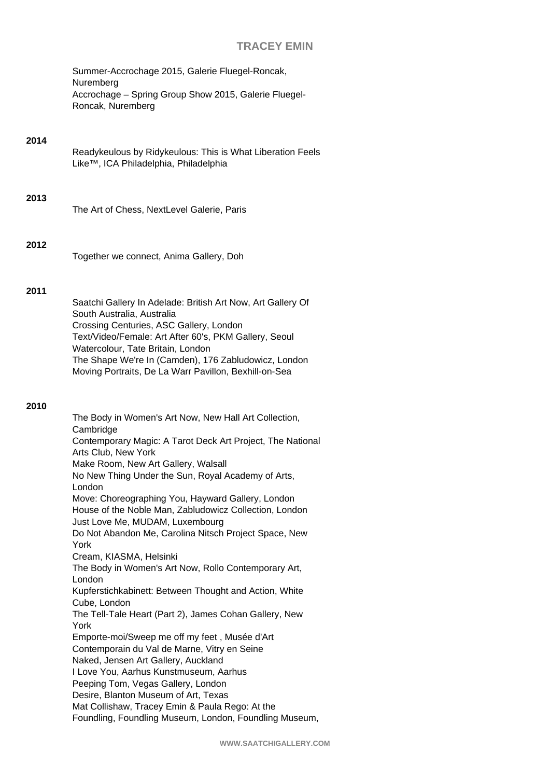Summer-Accrochage 2015, Galerie Fluegel-Roncak, Nuremberg Accrochage – Spring Group Show 2015, Galerie Fluegel-Roncak, Nuremberg

### **2014**

Readykeulous by Ridykeulous: This is What Liberation Feels Like™, ICA Philadelphia, Philadelphia

## **2013**

The Art of Chess, NextLevel Galerie, Paris

#### **2012**

Together we connect, Anima Gallery, Doh

## **2011**

Saatchi Gallery In Adelade: British Art Now, Art Gallery Of South Australia, Australia Crossing Centuries, ASC Gallery, London Text/Video/Female: Art After 60's, PKM Gallery, Seoul Watercolour, Tate Britain, London The Shape We're In (Camden), 176 Zabludowicz, London Moving Portraits, De La Warr Pavillon, Bexhill-on-Sea

### **2010**

The Body in Women's Art Now, New Hall Art Collection, **Cambridge** Contemporary Magic: A Tarot Deck Art Project, The National Arts Club, New York Make Room, New Art Gallery, Walsall No New Thing Under the Sun, Royal Academy of Arts, London Move: Choreographing You, Hayward Gallery, London House of the Noble Man, Zabludowicz Collection, London Just Love Me, MUDAM, Luxembourg Do Not Abandon Me, Carolina Nitsch Project Space, New York Cream, KIASMA, Helsinki The Body in Women's Art Now, Rollo Contemporary Art, London Kupferstichkabinett: Between Thought and Action, White Cube, London The Tell-Tale Heart (Part 2), James Cohan Gallery, New York Emporte-moi/Sweep me off my feet , Musée d'Art Contemporain du Val de Marne, Vitry en Seine Naked, Jensen Art Gallery, Auckland I Love You, Aarhus Kunstmuseum, Aarhus Peeping Tom, Vegas Gallery, London Desire, Blanton Museum of Art, Texas Mat Collishaw, Tracey Emin & Paula Rego: At the Foundling, Foundling Museum, London, Foundling Museum,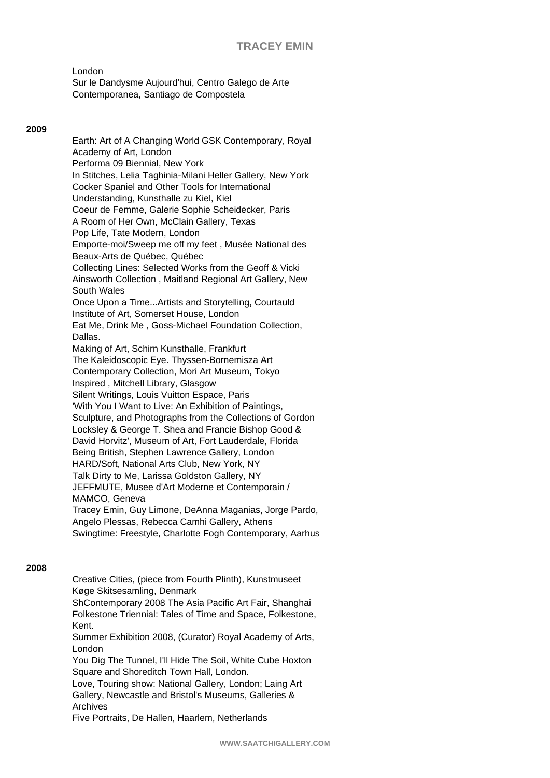London

Sur le Dandysme Aujourd'hui, Centro Galego de Arte Contemporanea, Santiago de Compostela

## **2009**

Earth: Art of A Changing World GSK Contemporary, Royal Academy of Art, London Performa 09 Biennial, New York In Stitches, Lelia Taghinia-Milani Heller Gallery, New York Cocker Spaniel and Other Tools for International Understanding, Kunsthalle zu Kiel, Kiel Coeur de Femme, Galerie Sophie Scheidecker, Paris A Room of Her Own, McClain Gallery, Texas Pop Life, Tate Modern, London Emporte-moi/Sweep me off my feet , Musée National des Beaux-Arts de Québec, Québec Collecting Lines: Selected Works from the Geoff & Vicki Ainsworth Collection , Maitland Regional Art Gallery, New South Wales Once Upon a Time...Artists and Storytelling, Courtauld Institute of Art, Somerset House, London Eat Me, Drink Me , Goss-Michael Foundation Collection, Dallas. Making of Art, Schirn Kunsthalle, Frankfurt The Kaleidoscopic Eye. Thyssen-Bornemisza Art Contemporary Collection, Mori Art Museum, Tokyo Inspired , Mitchell Library, Glasgow Silent Writings, Louis Vuitton Espace, Paris 'With You I Want to Live: An Exhibition of Paintings, Sculpture, and Photographs from the Collections of Gordon Locksley & George T. Shea and Francie Bishop Good & David Horvitz', Museum of Art, Fort Lauderdale, Florida Being British, Stephen Lawrence Gallery, London HARD/Soft, National Arts Club, New York, NY Talk Dirty to Me, Larissa Goldston Gallery, NY JEFFMUTE, Musee d'Art Moderne et Contemporain / MAMCO, Geneva Tracey Emin, Guy Limone, DeAnna Maganias, Jorge Pardo, Angelo Plessas, Rebecca Camhi Gallery, Athens Swingtime: Freestyle, Charlotte Fogh Contemporary, Aarhus

### **2008**

Creative Cities, (piece from Fourth Plinth), Kunstmuseet Køge Skitsesamling, Denmark ShContemporary 2008 The Asia Pacific Art Fair, Shanghai Folkestone Triennial: Tales of Time and Space, Folkestone, Kent. Summer Exhibition 2008, (Curator) Royal Academy of Arts, London You Dig The Tunnel, I'll Hide The Soil, White Cube Hoxton Square and Shoreditch Town Hall, London. Love, Touring show: National Gallery, London; Laing Art Gallery, Newcastle and Bristol's Museums, Galleries &

Archives Five Portraits, De Hallen, Haarlem, Netherlands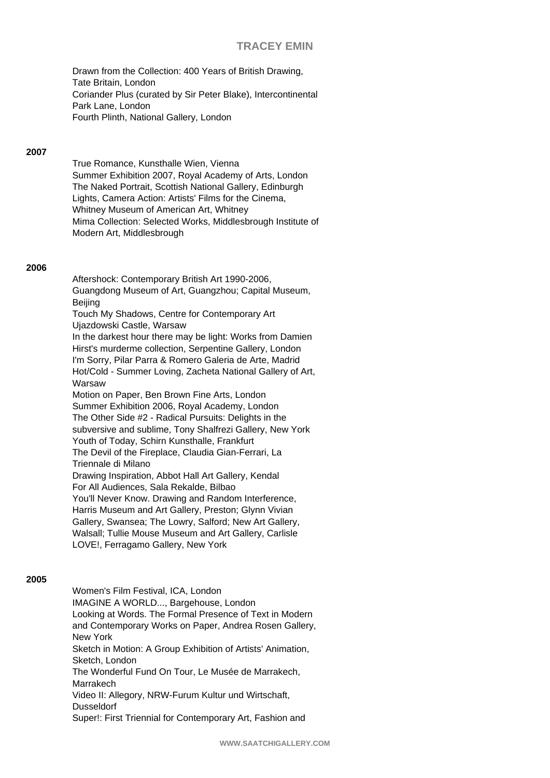Drawn from the Collection: 400 Years of British Drawing, Tate Britain, London Coriander Plus (curated by Sir Peter Blake), Intercontinental Park Lane, London Fourth Plinth, National Gallery, London

## **2007**

True Romance, Kunsthalle Wien, Vienna Summer Exhibition 2007, Royal Academy of Arts, London The Naked Portrait, Scottish National Gallery, Edinburgh Lights, Camera Action: Artists' Films for the Cinema, Whitney Museum of American Art, Whitney Mima Collection: Selected Works, Middlesbrough Institute of Modern Art, Middlesbrough

### **2006**

Aftershock: Contemporary British Art 1990-2006, Guangdong Museum of Art, Guangzhou; Capital Museum, Beijing Touch My Shadows, Centre for Contemporary Art Ujazdowski Castle, Warsaw In the darkest hour there may be light: Works from Damien Hirst's murderme collection, Serpentine Gallery, London I'm Sorry, Pilar Parra & Romero Galeria de Arte, Madrid Hot/Cold - Summer Loving, Zacheta National Gallery of Art, Warsaw Motion on Paper, Ben Brown Fine Arts, London Summer Exhibition 2006, Royal Academy, London The Other Side #2 - Radical Pursuits: Delights in the subversive and sublime, Tony Shalfrezi Gallery, New York Youth of Today, Schirn Kunsthalle, Frankfurt The Devil of the Fireplace, Claudia Gian-Ferrari, La Triennale di Milano Drawing Inspiration, Abbot Hall Art Gallery, Kendal For All Audiences, Sala Rekalde, Bilbao You'll Never Know. Drawing and Random Interference, Harris Museum and Art Gallery, Preston; Glynn Vivian Gallery, Swansea; The Lowry, Salford; New Art Gallery, Walsall; Tullie Mouse Museum and Art Gallery, Carlisle LOVE!, Ferragamo Gallery, New York

### **2005**

Women's Film Festival, ICA, London IMAGINE A WORLD..., Bargehouse, London Looking at Words. The Formal Presence of Text in Modern and Contemporary Works on Paper, Andrea Rosen Gallery, New York Sketch in Motion: A Group Exhibition of Artists' Animation, Sketch, London The Wonderful Fund On Tour, Le Musée de Marrakech, Marrakech Video II: Allegory, NRW-Furum Kultur und Wirtschaft, **Dusseldorf** Super!: First Triennial for Contemporary Art, Fashion and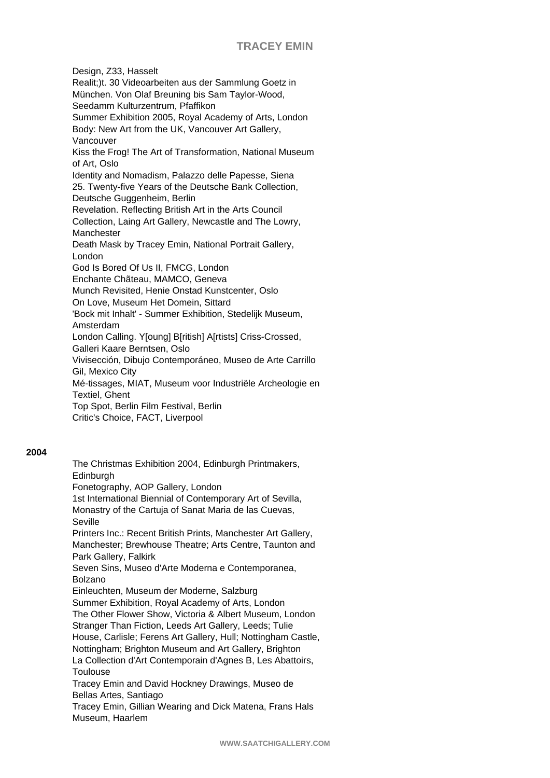Design, Z33, Hasselt Realit;)t. 30 Videoarbeiten aus der Sammlung Goetz in München. Von Olaf Breuning bis Sam Taylor-Wood, Seedamm Kulturzentrum, Pfaffikon Summer Exhibition 2005, Royal Academy of Arts, London Body: New Art from the UK, Vancouver Art Gallery, Vancouver Kiss the Frog! The Art of Transformation, National Museum of Art, Oslo Identity and Nomadism, Palazzo delle Papesse, Siena 25. Twenty-five Years of the Deutsche Bank Collection, Deutsche Guggenheim, Berlin Revelation. Reflecting British Art in the Arts Council Collection, Laing Art Gallery, Newcastle and The Lowry, Manchester Death Mask by Tracey Emin, National Portrait Gallery, London God Is Bored Of Us II, FMCG, London Enchante Chãteau, MAMCO, Geneva Munch Revisited, Henie Onstad Kunstcenter, Oslo On Love, Museum Het Domein, Sittard 'Bock mit Inhalt' - Summer Exhibition, Stedelijk Museum, Amsterdam London Calling. Y[oung] B[ritish] A[rtists] Criss-Crossed, Galleri Kaare Berntsen, Oslo Vivisección, Dibujo Contemporáneo, Museo de Arte Carrillo Gil, Mexico City Mé-tissages, MIAT, Museum voor Industriële Archeologie en Textiel, Ghent Top Spot, Berlin Film Festival, Berlin Critic's Choice, FACT, Liverpool

### **2004**

The Christmas Exhibition 2004, Edinburgh Printmakers, Edinburgh Fonetography, AOP Gallery, London 1st International Biennial of Contemporary Art of Sevilla, Monastry of the Cartuja of Sanat Maria de las Cuevas, Seville Printers Inc.: Recent British Prints, Manchester Art Gallery, Manchester; Brewhouse Theatre; Arts Centre, Taunton and Park Gallery, Falkirk Seven Sins, Museo d'Arte Moderna e Contemporanea, Bolzano Einleuchten, Museum der Moderne, Salzburg Summer Exhibition, Royal Academy of Arts, London The Other Flower Show, Victoria & Albert Museum, London Stranger Than Fiction, Leeds Art Gallery, Leeds; Tulie House, Carlisle; Ferens Art Gallery, Hull; Nottingham Castle, Nottingham; Brighton Museum and Art Gallery, Brighton La Collection d'Art Contemporain d'Agnes B, Les Abattoirs, Toulouse Tracey Emin and David Hockney Drawings, Museo de Bellas Artes, Santiago Tracey Emin, Gillian Wearing and Dick Matena, Frans Hals Museum, Haarlem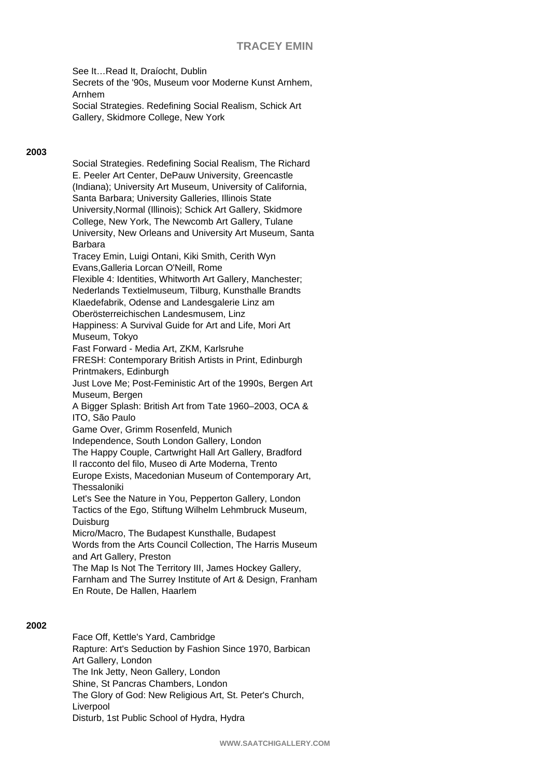See It…Read It, Draíocht, Dublin Secrets of the '90s, Museum voor Moderne Kunst Arnhem, Arnhem Social Strategies. Redefining Social Realism, Schick Art Gallery, Skidmore College, New York

## **2003**

Social Strategies. Redefining Social Realism, The Richard E. Peeler Art Center, DePauw University, Greencastle (Indiana); University Art Museum, University of California, Santa Barbara; University Galleries, Illinois State University,Normal (Illinois); Schick Art Gallery, Skidmore College, New York, The Newcomb Art Gallery, Tulane University, New Orleans and University Art Museum, Santa Barbara Tracey Emin, Luigi Ontani, Kiki Smith, Cerith Wyn Evans,Galleria Lorcan O'Neill, Rome Flexible 4: Identities, Whitworth Art Gallery, Manchester; Nederlands Textielmuseum, Tilburg, Kunsthalle Brandts Klaedefabrik, Odense and Landesgalerie Linz am Oberösterreichischen Landesmusem, Linz Happiness: A Survival Guide for Art and Life, Mori Art Museum, Tokyo Fast Forward - Media Art, ZKM, Karlsruhe FRESH: Contemporary British Artists in Print, Edinburgh Printmakers, Edinburgh Just Love Me; Post-Feministic Art of the 1990s, Bergen Art Museum, Bergen A Bigger Splash: British Art from Tate 1960–2003, OCA & ITO, São Paulo Game Over, Grimm Rosenfeld, Munich Independence, South London Gallery, London The Happy Couple, Cartwright Hall Art Gallery, Bradford Il racconto del filo, Museo di Arte Moderna, Trento Europe Exists, Macedonian Museum of Contemporary Art, **Thessaloniki** Let's See the Nature in You, Pepperton Gallery, London Tactics of the Ego, Stiftung Wilhelm Lehmbruck Museum, Duisburg Micro/Macro, The Budapest Kunsthalle, Budapest Words from the Arts Council Collection, The Harris Museum and Art Gallery, Preston The Map Is Not The Territory III, James Hockey Gallery, Farnham and The Surrey Institute of Art & Design, Franham En Route, De Hallen, Haarlem

## **2002**

Face Off, Kettle's Yard, Cambridge Rapture: Art's Seduction by Fashion Since 1970, Barbican Art Gallery, London The Ink Jetty, Neon Gallery, London Shine, St Pancras Chambers, London The Glory of God: New Religious Art, St. Peter's Church, Liverpool Disturb, 1st Public School of Hydra, Hydra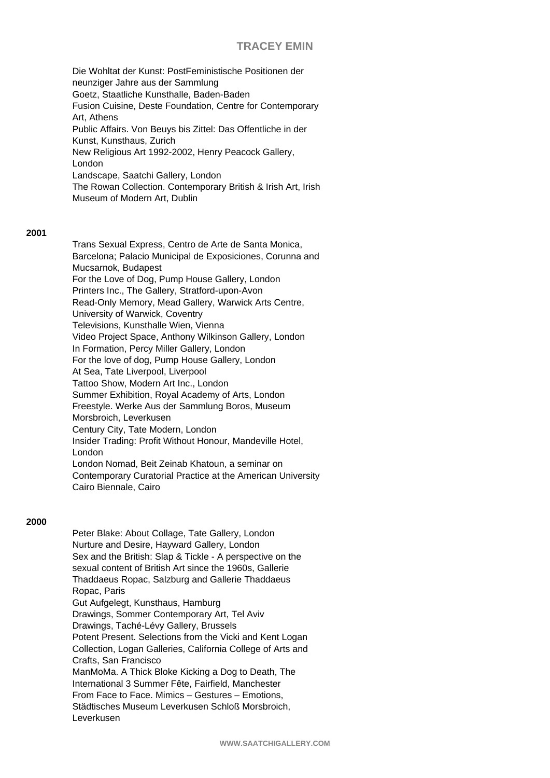Die Wohltat der Kunst: PostFeministische Positionen der neunziger Jahre aus der Sammlung Goetz, Staatliche Kunsthalle, Baden-Baden Fusion Cuisine, Deste Foundation, Centre for Contemporary Art, Athens Public Affairs. Von Beuys bis Zittel: Das Offentliche in der Kunst, Kunsthaus, Zurich New Religious Art 1992-2002, Henry Peacock Gallery, London Landscape, Saatchi Gallery, London The Rowan Collection. Contemporary British & Irish Art, Irish Museum of Modern Art, Dublin

#### **2001**

Trans Sexual Express, Centro de Arte de Santa Monica, Barcelona; Palacio Municipal de Exposiciones, Corunna and Mucsarnok, Budapest For the Love of Dog, Pump House Gallery, London Printers Inc., The Gallery, Stratford-upon-Avon Read-Only Memory, Mead Gallery, Warwick Arts Centre, University of Warwick, Coventry Televisions, Kunsthalle Wien, Vienna Video Project Space, Anthony Wilkinson Gallery, London In Formation, Percy Miller Gallery, London For the love of dog, Pump House Gallery, London At Sea, Tate Liverpool, Liverpool Tattoo Show, Modern Art Inc., London Summer Exhibition, Royal Academy of Arts, London Freestyle. Werke Aus der Sammlung Boros, Museum Morsbroich, Leverkusen Century City, Tate Modern, London Insider Trading: Profit Without Honour, Mandeville Hotel, London London Nomad, Beit Zeinab Khatoun, a seminar on Contemporary Curatorial Practice at the American University Cairo Biennale, Cairo

### **2000**

Peter Blake: About Collage, Tate Gallery, London Nurture and Desire, Hayward Gallery, London Sex and the British: Slap & Tickle - A perspective on the sexual content of British Art since the 1960s, Gallerie Thaddaeus Ropac, Salzburg and Gallerie Thaddaeus Ropac, Paris Gut Aufgelegt, Kunsthaus, Hamburg Drawings, Sommer Contemporary Art, Tel Aviv Drawings, Taché-Lévy Gallery, Brussels Potent Present. Selections from the Vicki and Kent Logan Collection, Logan Galleries, California College of Arts and Crafts, San Francisco ManMoMa. A Thick Bloke Kicking a Dog to Death, The International 3 Summer Fête, Fairfield, Manchester From Face to Face. Mimics – Gestures – Emotions, Städtisches Museum Leverkusen Schloß Morsbroich, Leverkusen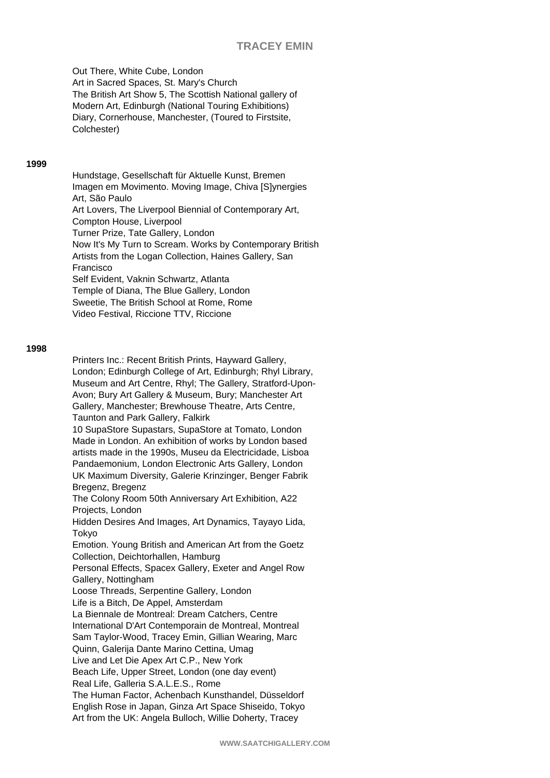Out There, White Cube, London Art in Sacred Spaces, St. Mary's Church The British Art Show 5, The Scottish National gallery of Modern Art, Edinburgh (National Touring Exhibitions) Diary, Cornerhouse, Manchester, (Toured to Firstsite, Colchester)

#### **1999**

Hundstage, Gesellschaft für Aktuelle Kunst, Bremen Imagen em Movimento. Moving Image, Chiva [S]ynergies Art, São Paulo Art Lovers, The Liverpool Biennial of Contemporary Art, Compton House, Liverpool Turner Prize, Tate Gallery, London Now It's My Turn to Scream. Works by Contemporary British Artists from the Logan Collection, Haines Gallery, San Francisco Self Evident, Vaknin Schwartz, Atlanta Temple of Diana, The Blue Gallery, London Sweetie, The British School at Rome, Rome Video Festival, Riccione TTV, Riccione

#### **1998**

Printers Inc.: Recent British Prints, Hayward Gallery, London; Edinburgh College of Art, Edinburgh; Rhyl Library, Museum and Art Centre, Rhyl; The Gallery, Stratford-Upon-Avon; Bury Art Gallery & Museum, Bury; Manchester Art Gallery, Manchester; Brewhouse Theatre, Arts Centre, Taunton and Park Gallery, Falkirk 10 SupaStore Supastars, SupaStore at Tomato, London Made in London. An exhibition of works by London based artists made in the 1990s, Museu da Electricidade, Lisboa Pandaemonium, London Electronic Arts Gallery, London UK Maximum Diversity, Galerie Krinzinger, Benger Fabrik Bregenz, Bregenz The Colony Room 50th Anniversary Art Exhibition, A22 Projects, London Hidden Desires And Images, Art Dynamics, Tayayo Lida, Tokyo Emotion. Young British and American Art from the Goetz Collection, Deichtorhallen, Hamburg Personal Effects, Spacex Gallery, Exeter and Angel Row Gallery, Nottingham Loose Threads, Serpentine Gallery, London Life is a Bitch, De Appel, Amsterdam La Biennale de Montreal: Dream Catchers, Centre International D'Art Contemporain de Montreal, Montreal Sam Taylor-Wood, Tracey Emin, Gillian Wearing, Marc Quinn, Galerija Dante Marino Cettina, Umag Live and Let Die Apex Art C.P., New York Beach Life, Upper Street, London (one day event) Real Life, Galleria S.A.L.E.S., Rome The Human Factor, Achenbach Kunsthandel, Düsseldorf English Rose in Japan, Ginza Art Space Shiseido, Tokyo Art from the UK: Angela Bulloch, Willie Doherty, Tracey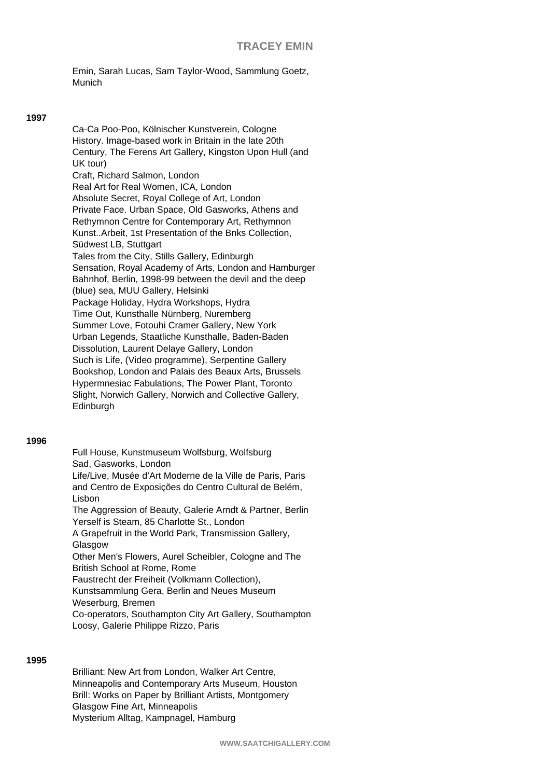Emin, Sarah Lucas, Sam Taylor-Wood, Sammlung Goetz, Munich

#### **1997**

Ca-Ca Poo-Poo, Kölnischer Kunstverein, Cologne History. Image-based work in Britain in the late 20th Century, The Ferens Art Gallery, Kingston Upon Hull (and UK tour) Craft, Richard Salmon, London Real Art for Real Women, ICA, London Absolute Secret, Royal College of Art, London Private Face. Urban Space, Old Gasworks, Athens and Rethymnon Centre for Contemporary Art, Rethymnon Kunst..Arbeit, 1st Presentation of the Bnks Collection, Südwest LB, Stuttgart Tales from the City, Stills Gallery, Edinburgh Sensation, Royal Academy of Arts, London and Hamburger Bahnhof, Berlin, 1998-99 between the devil and the deep (blue) sea, MUU Gallery, Helsinki Package Holiday, Hydra Workshops, Hydra Time Out, Kunsthalle Nürnberg, Nuremberg Summer Love, Fotouhi Cramer Gallery, New York Urban Legends, Staatliche Kunsthalle, Baden-Baden Dissolution, Laurent Delaye Gallery, London Such is Life, (Video programme), Serpentine Gallery Bookshop, London and Palais des Beaux Arts, Brussels Hypermnesiac Fabulations, The Power Plant, Toronto Slight, Norwich Gallery, Norwich and Collective Gallery, **Edinburgh** 

### **1996**

Full House, Kunstmuseum Wolfsburg, Wolfsburg Sad, Gasworks, London Life/Live, Musée d'Art Moderne de la Ville de Paris, Paris and Centro de Exposições do Centro Cultural de Belém, Lisbon The Aggression of Beauty, Galerie Arndt & Partner, Berlin Yerself is Steam, 85 Charlotte St., London A Grapefruit in the World Park, Transmission Gallery, Glasgow Other Men's Flowers, Aurel Scheibler, Cologne and The British School at Rome, Rome Faustrecht der Freiheit (Volkmann Collection), Kunstsammlung Gera, Berlin and Neues Museum Weserburg, Bremen Co-operators, Southampton City Art Gallery, Southampton

Loosy, Galerie Philippe Rizzo, Paris

### **1995**

Brilliant: New Art from London, Walker Art Centre, Minneapolis and Contemporary Arts Museum, Houston Brill: Works on Paper by Brilliant Artists, Montgomery Glasgow Fine Art, Minneapolis Mysterium Alltag, Kampnagel, Hamburg